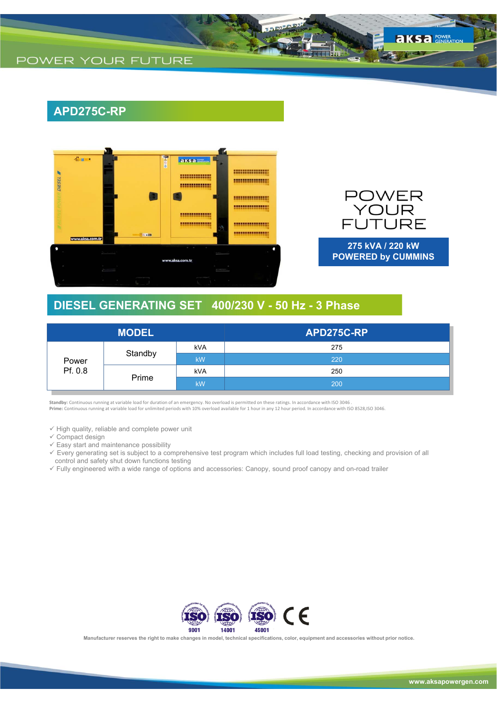# **APD275C-RP**



**POWER** NOUR<br>FUTURE

**275 kVA / 220 kW POWERED by CUMMINS**

### **DIESEL GENERATING SET 400/230 V - 50 Hz - 3 Phase**

| <b>MODEL</b>     |         |            | APD275C-RP |
|------------------|---------|------------|------------|
| Power<br>Pf. 0.8 | Standby | <b>kVA</b> | 275        |
|                  |         | kW         | 220        |
|                  | Prime   | kVA        | 250        |
|                  |         | kW         | 200        |

**Standby:** Continuous running at variable load for duration of an emergency. No overload is permitted on these ratings. In accordance with ISO 3046 . **Prime:** Continuous running at variable load for unlimited periods with 10% overload available for 1 hour in any 12 hour period. In accordance with ISO 8528,ISO 3046.

 $\checkmark$  High quality, reliable and complete power unit

 $\checkmark$  Compact design

 $\checkmark$  Easy start and maintenance possibility

 Every generating set is subject to a comprehensive test program which includes full load testing, checking and provision of all control and safety shut down functions testing

Fully engineered with a wide range of options and accessories: Canopy, sound proof canopy and on-road trailer



**Manufacturer reserves the right to make changes in model, technical specifications, color, equipment and accessories without prior notice.**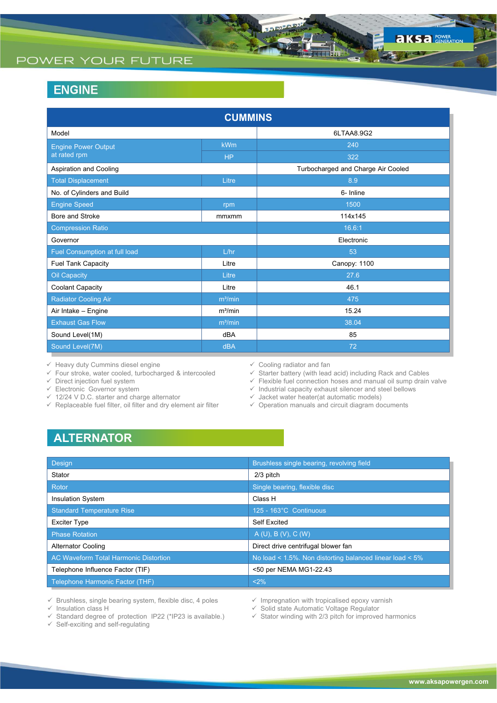# POWER YOUR FUTURE

# **ENGINE**

| <b>CUMMINS</b>                |                     |                                    |  |  |  |  |
|-------------------------------|---------------------|------------------------------------|--|--|--|--|
| Model                         |                     | 6LTAA8.9G2                         |  |  |  |  |
| <b>Engine Power Output</b>    | <b>kWm</b>          | 240                                |  |  |  |  |
| at rated rpm                  | <b>HP</b>           | 322                                |  |  |  |  |
| Aspiration and Cooling        |                     | Turbocharged and Charge Air Cooled |  |  |  |  |
| <b>Total Displacement</b>     | Litre               | 8.9                                |  |  |  |  |
| No. of Cylinders and Build    |                     | 6- Inline                          |  |  |  |  |
| <b>Engine Speed</b>           | rpm                 | 1500                               |  |  |  |  |
| Bore and Stroke               | mmxmm               | 114x145                            |  |  |  |  |
| <b>Compression Ratio</b>      |                     | 16.6:1                             |  |  |  |  |
| Governor                      |                     | Electronic                         |  |  |  |  |
| Fuel Consumption at full load | L/hr                | 53                                 |  |  |  |  |
| <b>Fuel Tank Capacity</b>     | Litre               | Canopy: 1100                       |  |  |  |  |
| <b>Oil Capacity</b>           | Litre               | 27.6                               |  |  |  |  |
| <b>Coolant Capacity</b>       | Litre               | 46.1                               |  |  |  |  |
| <b>Radiator Cooling Air</b>   | $m^3/m$ in          | 475                                |  |  |  |  |
| Air Intake - Engine           | $m^3/m$ in          | 15.24                              |  |  |  |  |
| <b>Exhaust Gas Flow</b>       | m <sup>3</sup> /min | 38.04                              |  |  |  |  |
| Sound Level(1M)               | dBA                 | 85                                 |  |  |  |  |
| Sound Level(7M)               | <b>dBA</b>          | 72                                 |  |  |  |  |

 $\checkmark$  Heavy duty Cummins diesel engine

 $\checkmark$  Four stroke, water cooled, turbocharged & intercooled

 $\checkmark$  Direct injection fuel system

 $\checkmark$  Electronic Governor system

- 12/24 V D.C. starter and charge alternator
- $\checkmark$  Replaceable fuel filter, oil filter and dry element air filter
- $\checkmark$  Cooling radiator and fan
- $\checkmark$  Starter battery (with lead acid) including Rack and Cables
- $\checkmark$  Flexible fuel connection hoses and manual oil sump drain valve
- $\checkmark$  Industrial capacity exhaust silencer and steel bellows
- $\checkmark$  Jacket water heater(at automatic models)
- $\checkmark$  Operation manuals and circuit diagram documents

# **ALTERNATOR**

| Design                                       | Brushless single bearing, revolving field                |
|----------------------------------------------|----------------------------------------------------------|
| Stator                                       | 2/3 pitch                                                |
| Rotor                                        | Single bearing, flexible disc                            |
| <b>Insulation System</b>                     | Class H                                                  |
| <b>Standard Temperature Rise</b>             | 125 - 163°C Continuous                                   |
| <b>Exciter Type</b>                          | <b>Self Excited</b>                                      |
| <b>Phase Rotation</b>                        | A(U), B(V), C(W)                                         |
| <b>Alternator Cooling</b>                    | Direct drive centrifugal blower fan                      |
| <b>AC Waveform Total Harmonic Distortion</b> | No load < 1.5%. Non distorting balanced linear load < 5% |
| Telephone Influence Factor (TIF)             | <50 per NEMA MG1-22.43                                   |
| Telephone Harmonic Factor (THF)              | <2%                                                      |

 $\checkmark$  Brushless, single bearing system, flexible disc, 4 poles

 $\checkmark$  Insulation class H

 $\checkmark$  Standard degree of protection IP22 (\*IP23 is available.)

 $\checkmark$  Self-exciting and self-regulating

- $\checkmark$  Impregnation with tropicalised epoxy varnish
- $\checkmark$  Solid state Automatic Voltage Regulator
- $\checkmark$  Stator winding with 2/3 pitch for improved harmonics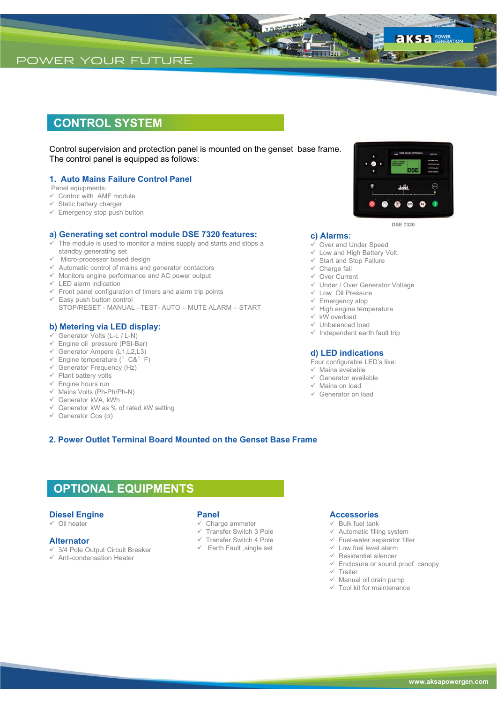### **CONTROL SYSTEM**

Control supervision and protection panel is mounted on the genset base frame. The control panel is equipped as follows:

### **1. Auto Mains Failure Control Panel**

Panel equipments:

- $\checkmark$  Control with AMF module
- $\checkmark$  Static battery charger
- $\checkmark$  Emergency stop push button

### **a) Generating set control module DSE 7320 features:**

- The module is used to monitor a mains supply and starts and stops a standby generating set
- Micro-processor based design
- $\checkmark$  Automatic control of mains and generator contactors
- $\checkmark$  Monitors engine performance and AC power output
- $\checkmark$  LED alarm indication
- $\checkmark$  Front panel configuration of timers and alarm trip points
- $\checkmark$  Easy push button control STOP/RESET - MANUAL –TEST- AUTO – MUTE ALARM – START

### **b) Metering via LED display:**

- $\checkmark$  Generator Volts (L-L / L-N)
- $\checkmark$  Engine oil pressure (PSI-Bar)
- Generator Ampere (L1,L2,L3)
- $\checkmark$  Engine temperature (°C&°F)
- $\checkmark$  Generator Frequency (Hz)  $\checkmark$  Plant battery volts
- $\checkmark$  Engine hours run
- $\checkmark$  Mains Volts (Ph-Ph/Ph-N)
- Generator kVA, kWh
- $\checkmark$  Generator kW as % of rated kW setting
- Generator Cos (σ)

### $\checkmark$  Start and Stop Failure  $\checkmark$  Charge fail

Over Current

**c) Alarms:**

- Under / Over Generator Voltage
- Low Oil Pressure
- $\checkmark$  Emergency stop
- $\checkmark$  High engine temperature

 Over and Under Speed  $\checkmark$  Low and High Battery Volt.

- $\times$  kW overload
- Unbalanced load
- $\checkmark$  Independent earth fault trip

#### **d) LED indications**

- Four configurable LED's like:
- $\checkmark$  Mains available
- $\checkmark$  Generator available
- $\checkmark$  Mains on load
- Generator on load

### **2. Power Outlet Terminal Board Mounted on the Genset Base Frame**

### **OPTIONAL EQUIPMENTS**

### **Diesel Engine**

 $\checkmark$  Oil heater

### **Alternator**

- 3/4 Pole Output Circuit Breaker
- $\checkmark$  Anti-condensation Heater

### **Panel**

- $\checkmark$  Charge ammeter
- Transfer Switch 3 Pole
- $\checkmark$  Transfer Switch 4 Pole
- $\checkmark$  Earth Fault , single set

### **Accessories**

- $\checkmark$  Bulk fuel tank
- $\checkmark$  Automatic filling system
- $\checkmark$  Fuel-water separator filter
- $\checkmark$  Low fuel level alarm
- $\checkmark$  Residential silencer
- $\checkmark$  Enclosure or sound proof canopy
- $\times$  Trailer
- $\checkmark$  Manual oil drain pump
- $\checkmark$  Tool kit for maintenance



**DSE 7320**